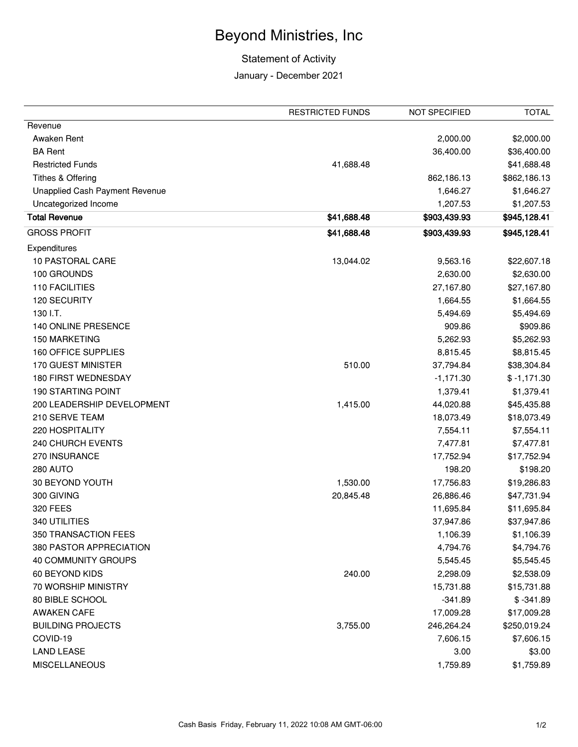## Beyond Ministries, Inc

## Statement of Activity

## January - December 2021

|                                       | <b>RESTRICTED FUNDS</b> | NOT SPECIFIED | <b>TOTAL</b>  |
|---------------------------------------|-------------------------|---------------|---------------|
| Revenue                               |                         |               |               |
| Awaken Rent                           |                         | 2,000.00      | \$2,000.00    |
| <b>BA Rent</b>                        |                         | 36,400.00     | \$36,400.00   |
| <b>Restricted Funds</b>               | 41,688.48               |               | \$41,688.48   |
| Tithes & Offering                     |                         | 862,186.13    | \$862,186.13  |
| <b>Unapplied Cash Payment Revenue</b> |                         | 1,646.27      | \$1,646.27    |
| Uncategorized Income                  |                         | 1,207.53      | \$1,207.53    |
| <b>Total Revenue</b>                  | \$41,688.48             | \$903,439.93  | \$945,128.41  |
| <b>GROSS PROFIT</b>                   | \$41,688.48             | \$903,439.93  | \$945,128.41  |
| Expenditures                          |                         |               |               |
| 10 PASTORAL CARE                      | 13,044.02               | 9,563.16      | \$22,607.18   |
| 100 GROUNDS                           |                         | 2,630.00      | \$2,630.00    |
| <b>110 FACILITIES</b>                 |                         | 27,167.80     | \$27,167.80   |
| 120 SECURITY                          |                         | 1,664.55      | \$1,664.55    |
| 130 I.T.                              |                         | 5,494.69      | \$5,494.69    |
| 140 ONLINE PRESENCE                   |                         | 909.86        | \$909.86      |
| 150 MARKETING                         |                         | 5,262.93      | \$5,262.93    |
| 160 OFFICE SUPPLIES                   |                         | 8,815.45      | \$8,815.45    |
| 170 GUEST MINISTER                    | 510.00                  | 37,794.84     | \$38,304.84   |
| 180 FIRST WEDNESDAY                   |                         | $-1,171.30$   | $$ -1,171.30$ |
| <b>190 STARTING POINT</b>             |                         | 1,379.41      | \$1,379.41    |
| 200 LEADERSHIP DEVELOPMENT            | 1,415.00                | 44,020.88     | \$45,435.88   |
| 210 SERVE TEAM                        |                         | 18,073.49     | \$18,073.49   |
| 220 HOSPITALITY                       |                         | 7,554.11      | \$7,554.11    |
| 240 CHURCH EVENTS                     |                         | 7,477.81      | \$7,477.81    |
| 270 INSURANCE                         |                         | 17,752.94     | \$17,752.94   |
| <b>280 AUTO</b>                       |                         | 198.20        | \$198.20      |
| 30 BEYOND YOUTH                       | 1,530.00                | 17,756.83     | \$19,286.83   |
| 300 GIVING                            | 20,845.48               | 26,886.46     | \$47,731.94   |
| 320 FEES                              |                         | 11,695.84     | \$11,695.84   |
| 340 UTILITIES                         |                         | 37,947.86     | \$37,947.86   |
| 350 TRANSACTION FEES                  |                         | 1,106.39      | \$1,106.39    |
| 380 PASTOR APPRECIATION               |                         | 4,794.76      | \$4,794.76    |
| 40 COMMUNITY GROUPS                   |                         | 5,545.45      | \$5,545.45    |
| 60 BEYOND KIDS                        | 240.00                  | 2,298.09      | \$2,538.09    |
| 70 WORSHIP MINISTRY                   |                         | 15,731.88     | \$15,731.88   |
| 80 BIBLE SCHOOL                       |                         | $-341.89$     | $$ -341.89$   |
| <b>AWAKEN CAFE</b>                    |                         | 17,009.28     | \$17,009.28   |
| <b>BUILDING PROJECTS</b>              | 3,755.00                | 246,264.24    | \$250,019.24  |
| COVID-19                              |                         | 7,606.15      | \$7,606.15    |
| <b>LAND LEASE</b>                     |                         | 3.00          | \$3.00        |
| <b>MISCELLANEOUS</b>                  |                         | 1,759.89      | \$1,759.89    |